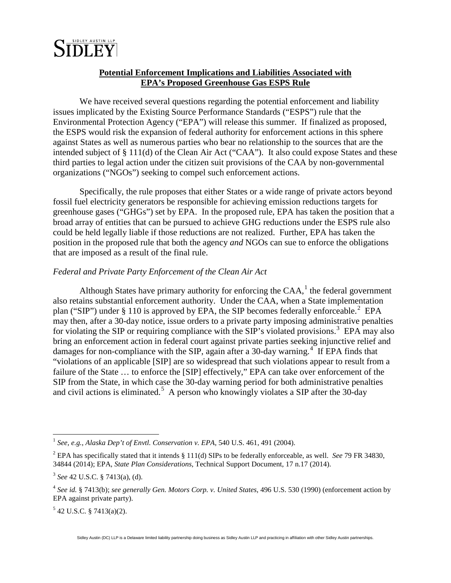

### **Potential Enforcement Implications and Liabilities Associated with EPA's Proposed Greenhouse Gas ESPS Rule**

We have received several questions regarding the potential enforcement and liability issues implicated by the Existing Source Performance Standards ("ESPS") rule that the Environmental Protection Agency ("EPA") will release this summer. If finalized as proposed, the ESPS would risk the expansion of federal authority for enforcement actions in this sphere against States as well as numerous parties who bear no relationship to the sources that are the intended subject of § 111(d) of the Clean Air Act ("CAA"). It also could expose States and these third parties to legal action under the citizen suit provisions of the CAA by non-governmental organizations ("NGOs") seeking to compel such enforcement actions.

Specifically, the rule proposes that either States or a wide range of private actors beyond fossil fuel electricity generators be responsible for achieving emission reductions targets for greenhouse gases ("GHGs") set by EPA. In the proposed rule, EPA has taken the position that a broad array of entities that can be pursued to achieve GHG reductions under the ESPS rule also could be held legally liable if those reductions are not realized. Further, EPA has taken the position in the proposed rule that both the agency *and* NGOs can sue to enforce the obligations that are imposed as a result of the final rule.

#### *Federal and Private Party Enforcement of the Clean Air Act*

Although States have primary authority for enforcing the  $CAA$ ,<sup>[1](#page-0-0)</sup> the federal government also retains substantial enforcement authority. Under the CAA, when a State implementation plan ("SIP") under § 110 is approved by EPA, the SIP becomes federally enforceable.<sup>[2](#page-0-1)</sup> EPA may then, after a 30-day notice, issue orders to a private party imposing administrative penalties for violating the SIP or requiring compliance with the SIP's violated provisions.<sup>[3](#page-0-2)</sup> EPA may also bring an enforcement action in federal court against private parties seeking injunctive relief and damages for non-compliance with the SIP, again after a 30-day warning.<sup>[4](#page-0-3)</sup> If EPA finds that "violations of an applicable [SIP] are so widespread that such violations appear to result from a failure of the State … to enforce the [SIP] effectively," EPA can take over enforcement of the SIP from the State, in which case the 30-day warning period for both administrative penalties and civil actions is eliminated.<sup>[5](#page-0-4)</sup> A person who knowingly violates a SIP after the 30-day

<span id="page-0-4"></span> $5$  42 U.S.C. § 7413(a)(2).

<span id="page-0-0"></span> <sup>1</sup> *See, e.g.*, *Alaska Dep't of Envtl. Conservation v. EPA*, 540 U.S. 461, 491 (2004).

<span id="page-0-1"></span><sup>2</sup> EPA has specifically stated that it intends § 111(d) SIPs to be federally enforceable, as well. *See* 79 FR 34830, 34844 (2014); EPA, *State Plan Considerations*, Technical Support Document, 17 n.17 (2014).

<span id="page-0-2"></span><sup>3</sup> *See* 42 U.S.C. § 7413(a), (d).

<span id="page-0-3"></span><sup>4</sup> *See id.* § 7413(b); *see generally Gen. Motors Corp. v. United States*, 496 U.S. 530 (1990) (enforcement action by EPA against private party).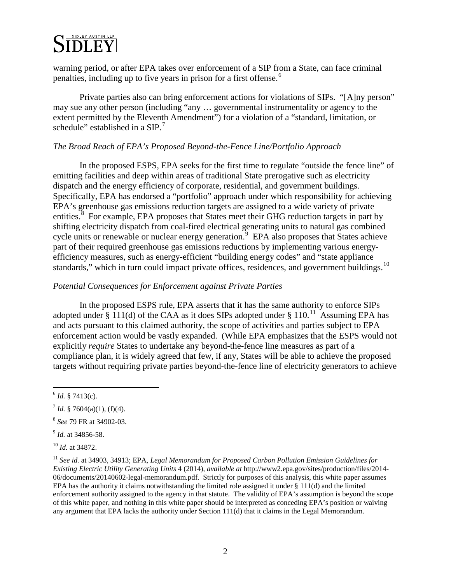# SIDLEY AUSTIN LLP

warning period, or after EPA takes over enforcement of a SIP from a State, can face criminal penalties, including up to five years in prison for a first offense.<sup>[6](#page-1-0)</sup>

Private parties also can bring enforcement actions for violations of SIPs. "[A]ny person" may sue any other person (including "any … governmental instrumentality or agency to the extent permitted by the Eleventh Amendment") for a violation of a "standard, limitation, or schedule" established in a  $SIP.<sup>7</sup>$  $SIP.<sup>7</sup>$  $SIP.<sup>7</sup>$ 

### *The Broad Reach of EPA's Proposed Beyond-the-Fence Line/Portfolio Approach*

In the proposed ESPS, EPA seeks for the first time to regulate "outside the fence line" of emitting facilities and deep within areas of traditional State prerogative such as electricity dispatch and the energy efficiency of corporate, residential, and government buildings. Specifically, EPA has endorsed a "portfolio" approach under which responsibility for achieving EPA's greenhouse gas emissions reduction targets are assigned to a wide variety of private entities.<sup>[8](#page-1-2)</sup> For example, EPA proposes that States meet their GHG reduction targets in part by shifting electricity dispatch from coal-fired electrical generating units to natural gas combined cycle units or renewable or nuclear energy generation.<sup>[9](#page-1-3)</sup> EPA also proposes that States achieve part of their required greenhouse gas emissions reductions by implementing various energyefficiency measures, such as energy-efficient "building energy codes" and "state appliance standards," which in turn could impact private offices, residences, and government buildings.<sup>[10](#page-1-4)</sup>

#### *Potential Consequences for Enforcement against Private Parties*

In the proposed ESPS rule, EPA asserts that it has the same authority to enforce SIPs adopted under § [11](#page-1-5)1(d) of the CAA as it does SIPs adopted under § 110.<sup>11</sup> Assuming EPA has and acts pursuant to this claimed authority, the scope of activities and parties subject to EPA enforcement action would be vastly expanded. (While EPA emphasizes that the ESPS would not explicitly *require* States to undertake any beyond-the-fence line measures as part of a compliance plan, it is widely agreed that few, if any, States will be able to achieve the proposed targets without requiring private parties beyond-the-fence line of electricity generators to achieve

<span id="page-1-3"></span><sup>9</sup> *Id.* at 34856-58.

<span id="page-1-4"></span><sup>10</sup> *Id.* at 34872.

<span id="page-1-0"></span> $^{6}$  *Id.* § 7413(c).

<span id="page-1-1"></span> $^7$  *Id.* § 7604(a)(1), (f)(4).

<span id="page-1-2"></span><sup>8</sup> *See* 79 FR at 34902-03.

<span id="page-1-5"></span><sup>11</sup> *See id.* at 34903, 34913; EPA, *Legal Memorandum for Proposed Carbon Pollution Emission Guidelines for Existing Electric Utility Generating Units* 4 (2014), *available at* http://www2.epa.gov/sites/production/files/2014- 06/documents/20140602-legal-memorandum.pdf. Strictly for purposes of this analysis, this white paper assumes EPA has the authority it claims notwithstanding the limited role assigned it under  $\S 111(d)$  and the limited enforcement authority assigned to the agency in that statute. The validity of EPA's assumption is beyond the scope of this white paper, and nothing in this white paper should be interpreted as conceding EPA's position or waiving any argument that EPA lacks the authority under Section 111(d) that it claims in the Legal Memorandum.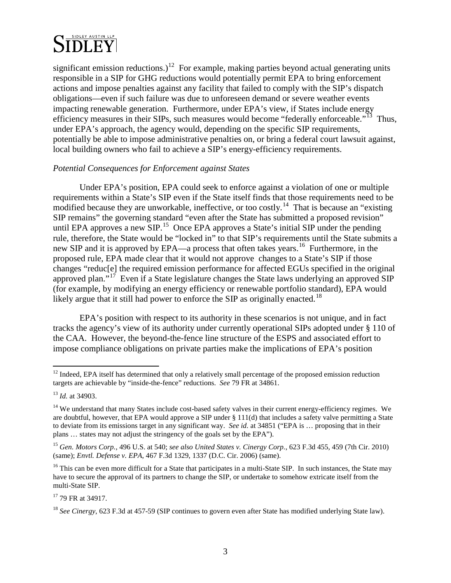## **SIDLEY AUSTIN LLP DLEY**

significant emission reductions.)<sup>12</sup> For example, making parties beyond actual generating units responsible in a SIP for GHG reductions would potentially permit EPA to bring enforcement actions and impose penalties against any facility that failed to comply with the SIP's dispatch obligations—even if such failure was due to unforeseen demand or severe weather events impacting renewable generation. Furthermore, under EPA's view, if States include energy efficiency measures in their SIPs, such measures would become "federally enforceable."<sup>13</sup> Thus, under EPA's approach, the agency would, depending on the specific SIP requirements, potentially be able to impose administrative penalties on, or bring a federal court lawsuit against, local building owners who fail to achieve a SIP's energy-efficiency requirements.

#### *Potential Consequences for Enforcement against States*

Under EPA's position, EPA could seek to enforce against a violation of one or multiple requirements within a State's SIP even if the State itself finds that those requirements need to be modified because they are unworkable, ineffective, or too costly.<sup>[14](#page-2-2)</sup> That is because an "existing" SIP remains" the governing standard "even after the State has submitted a proposed revision" until EPA approves a new  $\overline{SIP}$ .<sup>[15](#page-2-3)</sup> Once EPA approves a State's initial SIP under the pending rule, therefore, the State would be "locked in" to that SIP's requirements until the State submits a new SIP and it is approved by EPA—a process that often takes years.<sup>[16](#page-2-4)</sup> Furthermore, in the proposed rule, EPA made clear that it would not approve changes to a State's SIP if those changes "reduc[e] the required emission performance for affected EGUs specified in the original approved plan."<sup>[17](#page-2-5)</sup> Even if a State legislature changes the State laws underlying an approved SIP (for example, by modifying an energy efficiency or renewable portfolio standard), EPA would likely argue that it still had power to enforce the SIP as originally enacted.<sup>[18](#page-2-6)</sup>

EPA's position with respect to its authority in these scenarios is not unique, and in fact tracks the agency's view of its authority under currently operational SIPs adopted under § 110 of the CAA. However, the beyond-the-fence line structure of the ESPS and associated effort to impose compliance obligations on private parties make the implications of EPA's position

<span id="page-2-0"></span> $12$  Indeed, EPA itself has determined that only a relatively small percentage of the proposed emission reduction targets are achievable by "inside-the-fence" reductions. *See* 79 FR at 34861.

<span id="page-2-1"></span><sup>13</sup> *Id.* at 34903.

<span id="page-2-2"></span> $14$  We understand that many States include cost-based safety valves in their current energy-efficiency regimes. We are doubtful, however, that EPA would approve a SIP under § 111(d) that includes a safety valve permitting a State to deviate from its emissions target in any significant way. *See id.* at 34851 ("EPA is … proposing that in their plans … states may not adjust the stringency of the goals set by the EPA").

<span id="page-2-3"></span><sup>15</sup> *Gen. Motors Corp.*, 496 U.S. at 540; *see also United States v. Cinergy Corp.*, 623 F.3d 455, 459 (7th Cir. 2010) (same); *Envtl. Defense v. EPA*, 467 F.3d 1329, 1337 (D.C. Cir. 2006) (same).

<span id="page-2-4"></span><sup>&</sup>lt;sup>16</sup> This can be even more difficult for a State that participates in a multi-State SIP. In such instances, the State may have to secure the approval of its partners to change the SIP, or undertake to somehow extricate itself from the multi-State SIP.

<span id="page-2-5"></span><sup>17</sup> 79 FR at 34917.

<span id="page-2-6"></span><sup>&</sup>lt;sup>18</sup> *See Cinergy*, 623 F.3d at 457-59 (SIP continues to govern even after State has modified underlying State law).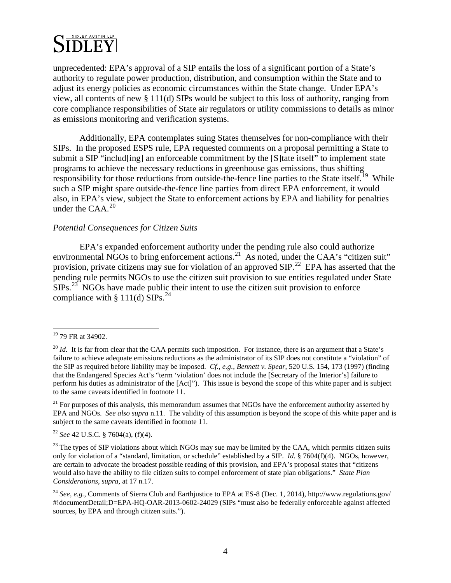## **SIDLEY AUSTIN LLP DLEY**

unprecedented: EPA's approval of a SIP entails the loss of a significant portion of a State's authority to regulate power production, distribution, and consumption within the State and to adjust its energy policies as economic circumstances within the State change. Under EPA's view, all contents of new § 111(d) SIPs would be subject to this loss of authority, ranging from core compliance responsibilities of State air regulators or utility commissions to details as minor as emissions monitoring and verification systems.

Additionally, EPA contemplates suing States themselves for non-compliance with their SIPs. In the proposed ESPS rule, EPA requested comments on a proposal permitting a State to submit a SIP "includ<sup>[ing]</sup> an enforceable commitment by the [S]tate itself" to implement state programs to achieve the necessary reductions in greenhouse gas emissions, thus shifting responsibility for those reductions from outside-the-fence line parties to the State itself.<sup>19</sup> While such a SIP might spare outside-the-fence line parties from direct EPA enforcement, it would also, in EPA's view, subject the State to enforcement actions by EPA and liability for penalties under the  $CAA$ <sup>[20](#page-3-1)</sup>

#### *Potential Consequences for Citizen Suits*

EPA's expanded enforcement authority under the pending rule also could authorize environmental NGOs to bring enforcement actions.<sup>[21](#page-3-2)</sup> As noted, under the CAA's "citizen suit" provision, private citizens may sue for violation of an approved SIP.<sup>22</sup> EPA has asserted that the pending rule permits NGOs to use the citizen suit provision to sue entities regulated under State  $SIPs.$ <sup>23</sup> NGOs have made public their intent to use the citizen suit provision to enforce compliance with § 111(d)  $SIPS.<sup>24</sup>$  $SIPS.<sup>24</sup>$  $SIPS.<sup>24</sup>$ 

<span id="page-3-3"></span><sup>22</sup> *See* 42 U.S.C. § 7604(a), (f)(4).

<span id="page-3-0"></span><sup>&</sup>lt;sup>19</sup> 79 FR at 34902.

<span id="page-3-1"></span> $^{20}$  *Id.* It is far from clear that the CAA permits such imposition. For instance, there is an argument that a State's failure to achieve adequate emissions reductions as the administrator of its SIP does not constitute a "violation" of the SIP as required before liability may be imposed. *Cf., e.g.*, *Bennett v. Spear*, 520 U.S. 154, 173 (1997) (finding that the Endangered Species Act's "term 'violation' does not include the [Secretary of the Interior's] failure to perform his duties as administrator of the [Act]"). This issue is beyond the scope of this white paper and is subject to the same caveats identified in footnote 11.

<span id="page-3-2"></span><sup>&</sup>lt;sup>21</sup> For purposes of this analysis, this memorandum assumes that NGOs have the enforcement authority asserted by EPA and NGOs. *See also supra* n.11. The validity of this assumption is beyond the scope of this white paper and is subject to the same caveats identified in footnote 11.

<span id="page-3-4"></span> $^{23}$  The types of SIP violations about which NGOs may sue may be limited by the CAA, which permits citizen suits only for violation of a "standard, limitation, or schedule" established by a SIP. *Id.* § 7604(f)(4). NGOs, however, are certain to advocate the broadest possible reading of this provision, and EPA's proposal states that "citizens would also have the ability to file citizen suits to compel enforcement of state plan obligations." *State Plan Considerations*, *supra*, at 17 n.17.

<span id="page-3-5"></span><sup>24</sup> *See, e.g.*, Comments of Sierra Club and Earthjustice to EPA at ES-8 (Dec. 1, 2014), http://www.regulations.gov/ #!documentDetail;D=EPA-HQ-OAR-2013-0602-24029 (SIPs "must also be federally enforceable against affected sources, by EPA and through citizen suits.").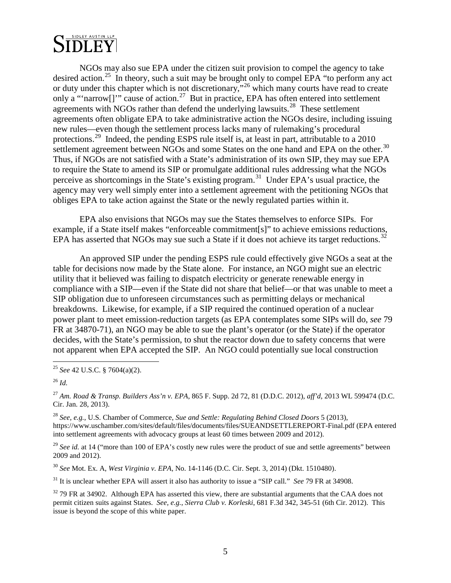

NGOs may also sue EPA under the citizen suit provision to compel the agency to take desired action.<sup>25</sup> In theory, such a suit may be brought only to compel EPA "to perform any act or duty under this chapter which is not discretionary,"<sup>[26](#page-4-1)</sup> which many courts have read to create only a "'narrow[]'" cause of action.<sup>27</sup> But in practice, EPA has often entered into settlement agreements with NGOs rather than defend the underlying lawsuits.<sup>28</sup> These settlement agreements often obligate EPA to take administrative action the NGOs desire, including issuing new rules—even though the settlement process lacks many of rulemaking's procedural protections.<sup>[29](#page-4-4)</sup> Indeed, the pending ESPS rule itself is, at least in part, attributable to a 2010 settlement agreement between NGOs and some States on the one hand and EPA on the other.<sup>30</sup> Thus, if NGOs are not satisfied with a State's administration of its own SIP, they may sue EPA to require the State to amend its SIP or promulgate additional rules addressing what the NGOs perceive as shortcomings in the State's existing program.[31](#page-4-6) Under EPA's usual practice, the agency may very well simply enter into a settlement agreement with the petitioning NGOs that obliges EPA to take action against the State or the newly regulated parties within it.

EPA also envisions that NGOs may sue the States themselves to enforce SIPs. For example, if a State itself makes "enforceable commitment[s]" to achieve emissions reductions, EPA has asserted that NGOs may sue such a State if it does not achieve its target reductions.<sup>[32](#page-4-7)</sup>

An approved SIP under the pending ESPS rule could effectively give NGOs a seat at the table for decisions now made by the State alone. For instance, an NGO might sue an electric utility that it believed was failing to dispatch electricity or generate renewable energy in compliance with a SIP—even if the State did not share that belief—or that was unable to meet a SIP obligation due to unforeseen circumstances such as permitting delays or mechanical breakdowns. Likewise, for example, if a SIP required the continued operation of a nuclear power plant to meet emission-reduction targets (as EPA contemplates some SIPs will do, *see* 79 FR at 34870-71), an NGO may be able to sue the plant's operator (or the State) if the operator decides, with the State's permission, to shut the reactor down due to safety concerns that were not apparent when EPA accepted the SIP. An NGO could potentially sue local construction

<span id="page-4-2"></span><sup>27</sup> *Am. Road & Transp. Builders Ass'n v. EPA*, 865 F. Supp. 2d 72, 81 (D.D.C. 2012), *aff'd*, 2013 WL 599474 (D.C. Cir. Jan. 28, 2013).

<span id="page-4-3"></span><sup>28</sup> *See, e.g.*, U.S. Chamber of Commerce, *Sue and Settle: Regulating Behind Closed Doors* 5 (2013), https://www.uschamber.com/sites/default/files/documents/files/SUEANDSETTLEREPORT-Final.pdf (EPA entered into settlement agreements with advocacy groups at least 60 times between 2009 and 2012).

<span id="page-4-4"></span><sup>29</sup> See id. at 14 ("more than 100 of EPA's costly new rules were the product of sue and settle agreements" between 2009 and 2012).

<span id="page-4-5"></span><sup>30</sup> *See* Mot. Ex. A, *West Virginia v. EPA*, No. 14-1146 (D.C. Cir. Sept. 3, 2014) (Dkt. 1510480).

<span id="page-4-6"></span><sup>31</sup> It is unclear whether EPA will assert it also has authority to issue a "SIP call." *See* 79 FR at 34908.

<span id="page-4-7"></span><sup>32</sup> 79 FR at 34902. Although EPA has asserted this view, there are substantial arguments that the CAA does not permit citizen suits against States. *See, e.g.*, *Sierra Club v. Korleski*, 681 F.3d 342, 345-51 (6th Cir. 2012). This issue is beyond the scope of this white paper.

<span id="page-4-0"></span> <sup>25</sup> *See* 42 U.S.C. § 7604(a)(2).

<span id="page-4-1"></span><sup>26</sup> *Id.*